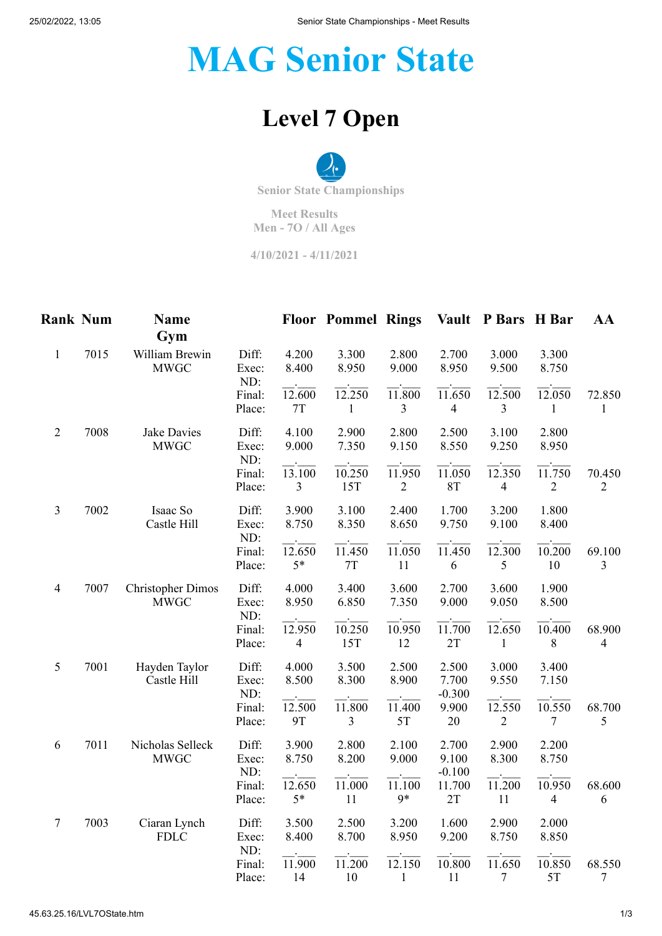25/02/2022, 13:05 Senior State Championships - Meet Results

## **MAG Senior State**

## **Level 7 Open**

**Senior State Championships**

**Meet Results Men - 7O / All Ages**

**4/10/2021 - 4/11/2021**

| <b>Rank Num</b> |      | Name<br>Gym                             |                                 |                                  | <b>Floor Pommel Rings</b> |                                     |                            | Vault P Bars H Bar                    |                               | AA                       |
|-----------------|------|-----------------------------------------|---------------------------------|----------------------------------|---------------------------|-------------------------------------|----------------------------|---------------------------------------|-------------------------------|--------------------------|
| $\mathbf{1}$    | 7015 | William Brewin<br><b>MWGC</b>           | Diff:<br>Exec:                  | 4.200<br>8.400                   | 3.300<br>8.950            | 2.800<br>9.000                      | 2.700<br>8.950             | 3.000<br>9.500                        | 3.300<br>8.750                |                          |
|                 |      |                                         | ND:<br>Final:<br>Place:         | 12.600<br>7T                     | 12.250<br>1               | 11.800<br>3                         | 11.650<br>$\overline{4}$   | 12.500<br>3                           | 12.050<br>1                   | 72.850<br>1              |
| $\mathfrak{2}$  | 7008 | Jake Davies<br><b>MWGC</b>              | Diff:<br>Exec:                  | 4.100<br>9.000                   | 2.900<br>7.350            | 2.800<br>9.150                      | 2.500<br>8.550             | 3.100<br>9.250                        | 2.800<br>8.950                |                          |
|                 |      |                                         | ND:<br>Final:<br>Place:         | 13.100<br>3                      | 10.250<br>15T             | 11.950<br>$\overline{2}$            | 11.050<br><b>8T</b>        | 12.350<br>4                           | 11.750<br>$\overline{2}$      | 70.450<br>$\overline{2}$ |
| $\mathfrak{Z}$  | 7002 | Isaac So<br>Castle Hill                 | Diff:<br>Exec:                  | 3.900<br>8.750                   | 3.100<br>8.350            | 2.400<br>8.650                      | 1.700<br>9.750             | 3.200<br>9.100                        | 1.800<br>8.400                |                          |
|                 |      |                                         | ND:<br>Final:<br>Place:         | 12.650<br>$5*$                   | 11.450<br>$7\mathrm{T}$   | 11.050<br>11                        | $\overline{11.450}$<br>6   | 12.300<br>5                           | 10.200<br>10                  | 69.100<br>$\overline{3}$ |
| $\overline{4}$  | 7007 | <b>Christopher Dimos</b><br><b>MWGC</b> | Diff:<br>Exec:<br>ND:<br>Final: | 4.000<br>8.950<br>12.950         | 3.400<br>6.850<br>10.250  | 3.600<br>7.350<br>10.950            | 2.700<br>9.000<br>11.700   | 3.600<br>9.050<br>12.650              | 1.900<br>8.500<br>10.400      | 68.900                   |
|                 |      |                                         | Place:                          | $\overline{4}$                   | 15T                       | 12                                  | 2T                         | $\mathbf{1}$                          | 8                             | $\overline{4}$           |
| 5               | 7001 | Hayden Taylor<br>Castle Hill            | Diff:<br>Exec:<br>ND:           | 4.000<br>8.500                   | 3.500<br>8.300            | 2.500<br>8.900                      | 2.500<br>7.700<br>$-0.300$ | 3.000<br>9.550                        | 3.400<br>7.150                |                          |
|                 |      |                                         | Final:<br>Place:                | $\overline{12.500}$<br><b>9T</b> | 11.800<br>$\overline{3}$  | 11.400<br>5T                        | 9.900<br>$20\,$            | $\overline{12.550}$<br>$\overline{c}$ | $\overline{10.550}$<br>$\tau$ | 68.700<br>5              |
| 6               | 7011 | Nicholas Selleck<br><b>MWGC</b>         | Diff:<br>Exec:                  | 3.900<br>8.750                   | 2.800<br>8.200            | 2.100<br>9.000                      | 2.700<br>9.100             | 2.900<br>8.300                        | 2.200<br>8.750                |                          |
|                 |      |                                         | ND:<br>Final:<br>Place:         | 12.650<br>$5*$                   | 11.000<br>11              | 11.100<br>9*                        | $-0.100$<br>11.700<br>2T   | 11.200<br>11                          | 10.950<br>$\overline{4}$      | 68.600<br>6              |
| $\tau$          | 7003 | Ciaran Lynch<br><b>FDLC</b>             | Diff:<br>Exec:<br>ND:           | 3.500<br>8.400                   | 2.500<br>8.700            | 3.200<br>8.950                      | 1.600<br>9.200             | 2.900<br>8.750                        | 2.000<br>8.850                |                          |
|                 |      |                                         | Final:<br>Place:                | 11.900<br>14                     | 11.200<br>10              | $12.\overline{150}$<br>$\mathbf{1}$ | 10.800<br>11               | 11.650<br>7                           | 10.850<br>5T                  | 68.550<br>7              |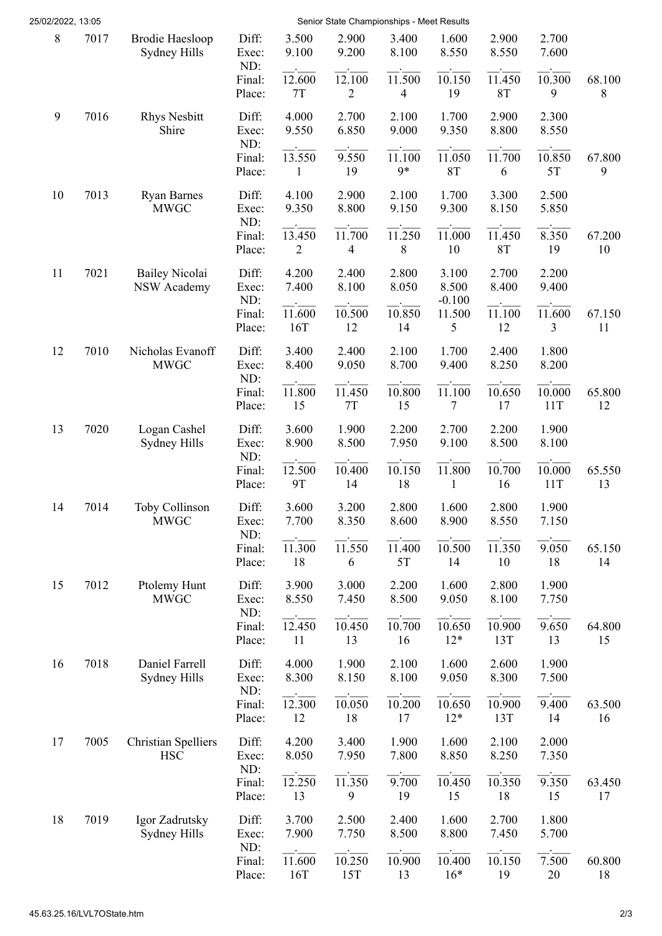| 25/02/2022, 13:05 |      |                                             |                         |                          | Senior State Championships - Meet Results |                                    |                              |                            |                |              |
|-------------------|------|---------------------------------------------|-------------------------|--------------------------|-------------------------------------------|------------------------------------|------------------------------|----------------------------|----------------|--------------|
| 8                 | 7017 | <b>Brodie Haesloop</b><br>Sydney Hills      | Diff:<br>Exec:<br>ND:   | 3.500<br>9.100           | 2.900<br>9.200                            | 3.400<br>8.100                     | 1.600<br>8.550               | 2.900<br>8.550             | 2.700<br>7.600 |              |
|                   |      |                                             | Final:<br>Place:        | 12.600<br>7T             | 12.100<br>$\overline{2}$                  | 11.500<br>$\overline{\mathcal{L}}$ | 10.150<br>19                 | 11.450<br>8T               | 10.300<br>9    | 68.100<br>8  |
| $\boldsymbol{9}$  | 7016 | <b>Rhys Nesbitt</b><br>Shire                | Diff:<br>Exec:<br>ND:   | 4.000<br>9.550           | 2.700<br>6.850                            | 2.100<br>9.000                     | 1.700<br>9.350               | 2.900<br>8.800             | 2.300<br>8.550 |              |
|                   |      |                                             | Final:<br>Place:        | 13.550<br>$\mathbf{1}$   | 9.550<br>19                               | 11.100<br>9*                       | 11.050<br>8T                 | 11.700<br>6                | 10.850<br>5T   | 67.800<br>9  |
| 10                | 7013 | <b>Ryan Barnes</b><br><b>MWGC</b>           | Diff:<br>Exec:<br>ND:   | 4.100<br>9.350           | 2.900<br>8.800                            | 2.100<br>9.150                     | 1.700<br>9.300               | 3.300<br>8.150             | 2.500<br>5.850 |              |
|                   |      |                                             | Final:<br>Place:        | 13.450<br>2              | 11.700<br>4                               | 11.250<br>8                        | 11.000<br>10                 | 11.450<br>8T               | 8.350<br>19    | 67.200<br>10 |
| 11                | 7021 | <b>Bailey Nicolai</b><br><b>NSW Academy</b> | Diff:<br>Exec:<br>ND:   | 4.200<br>7.400           | 2.400<br>8.100                            | 2.800<br>8.050                     | 3.100<br>8.500<br>$-0.100$   | 2.700<br>8.400             | 2.200<br>9.400 |              |
|                   |      |                                             | Final:<br>Place:        | 11.600<br>16T            | 10.500<br>12                              | 10.850<br>14                       | 11.500<br>5                  | 11.100<br>12               | 11.600<br>3    | 67.150<br>11 |
| 12                | 7010 | Nicholas Evanoff<br><b>MWGC</b>             | Diff:<br>Exec:<br>ND:   | 3.400<br>8.400           | 2.400<br>9.050                            | 2.100<br>8.700                     | 1.700<br>9.400               | 2.400<br>8.250             | 1.800<br>8.200 |              |
|                   |      |                                             | Final:<br>Place:        | 11.800<br>15             | 11.450<br>7T                              | 10.800<br>15                       | 11.100<br>7                  | 10.650<br>17               | 10.000<br>11T  | 65.800<br>12 |
| 13                | 7020 | Logan Cashel<br>Sydney Hills                | Diff:<br>Exec:<br>ND:   | 3.600<br>8.900           | 1.900<br>8.500                            | 2.200<br>7.950                     | 2.700<br>9.100               | 2.200<br>8.500             | 1.900<br>8.100 |              |
|                   |      |                                             | Final:<br>Place:        | 12.500<br>9T             | 10.400<br>14                              | 10.150<br>18                       | 11.800<br>1                  | 10.700<br>16               | 10.000<br>11T  | 65.550<br>13 |
| 14                | 7014 | Toby Collinson<br><b>MWGC</b>               | Diff:<br>Exec:<br>ND:   | 3.600<br>7.700           | 3.200<br>8.350                            | 2.800<br>8.600                     | 1.600<br>8.900               | 2.800<br>8.550             | 1.900<br>7.150 |              |
|                   |      |                                             | Final:<br>Place:        | 11.300<br>18             | $\frac{1}{11.550}$<br>6                   | 11.400<br>5T                       | 10.500<br>14                 | $\frac{1}{11.350}$<br>10   | 9.050<br>18    | 65.150<br>14 |
| 15                | 7012 | Ptolemy Hunt<br><b>MWGC</b>                 | Diff:<br>Exec:<br>ND:   | 3.900<br>8.550           | 3.000<br>7.450                            | 2.200<br>8.500                     | 1.600<br>9.050               | 2.800<br>8.100             | 1.900<br>7.750 |              |
|                   |      |                                             | Final:<br>Place:        | $\frac{1}{12.450}$<br>11 | $\overline{10.450}$<br>13                 | $\overline{10.700}$<br>16          | $\overline{10.650}$<br>$12*$ | $\overline{10.900}$<br>13T | 9.650<br>13    | 64.800<br>15 |
| 16                | 7018 | Daniel Farrell<br>Sydney Hills              | Diff:<br>Exec:          | 4.000<br>8.300           | 1.900<br>8.150                            | 2.100<br>8.100                     | 1.600<br>9.050               | 2.600<br>8.300             | 1.900<br>7.500 |              |
|                   |      |                                             | ND:<br>Final:<br>Place: | 12.300<br>12             | 10.050<br>18                              | 10.200<br>17                       | 10.650<br>$12*$              | 10.900<br>13T              | 9.400<br>14    | 63.500<br>16 |
| 17                | 7005 | <b>Christian Spelliers</b><br><b>HSC</b>    | Diff:<br>Exec:          | 4.200<br>8.050           | 3.400<br>7.950                            | 1.900<br>7.800                     | 1.600<br>8.850               | 2.100<br>8.250             | 2.000<br>7.350 |              |
|                   |      |                                             | ND:<br>Final:<br>Place: | 12.250<br>13             | 11.350<br>9                               | 9.700<br>19                        | 10.450<br>15                 | 10.350<br>18               | 9.350<br>15    | 63.450<br>17 |
| 18                | 7019 | Igor Zadrutsky<br>Sydney Hills              | Diff:<br>Exec:          | 3.700<br>7.900           | 2.500<br>7.750                            | 2.400<br>8.500                     | 1.600<br>8.800               | 2.700<br>7.450             | 1.800<br>5.700 |              |
|                   |      |                                             | ND:<br>Final:<br>Place: | 11.600<br>16T            | $\overline{10.250}$<br>15T                | 10.900<br>13                       | 10.400<br>$16*$              | 10.150<br>19               | 7.500<br>20    | 60.800<br>18 |